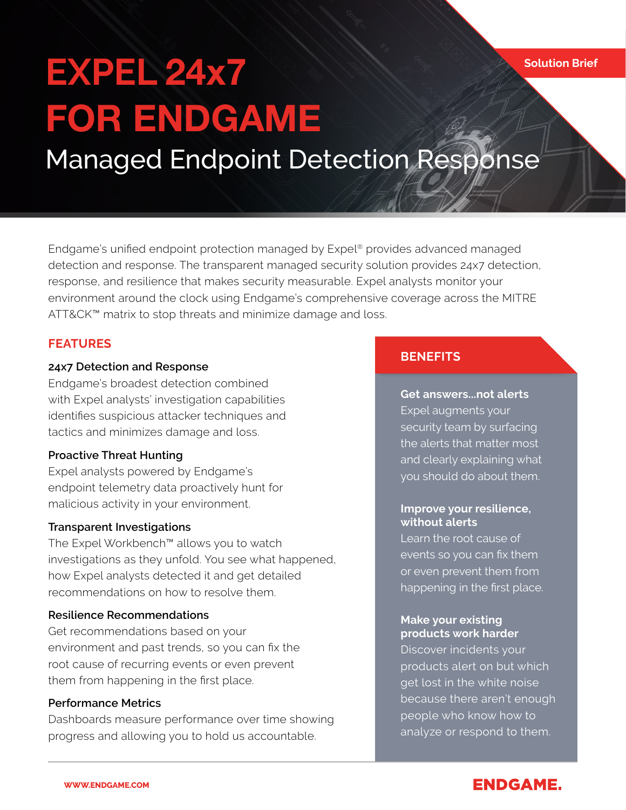# **EXPEL** 24x7 **FOR** ENDGAME Managed Endpoint Detection Response

Endgame's unified endpoint protection managed by Expel® provides advanced managed detection and response. The transparent managed security solution provides 24x7 detection, response, and resilience that makes security measurable. Expel analysts monitor your environment around the clock using Endgame's comprehensive coverage across the MITRE ATT&CK™ matrix to stop threats and minimize damage and loss.

### **FEATURES**

#### **24x7 Detection and Response**

Endgame's broadest detection combined with Expel analysts' investigation capabilities identifies suspicious attacker techniques and tactics and minimizes damage and loss.

#### **Proactive Threat Hunting**

Expel analysts powered by Endgame's endpoint telemetry data proactively hunt for malicious activity in your environment.

#### **Transparent Investigations**

The Expel Workbench™ allows you to watch investigations as they unfold. You see what happened, how Expel analysts detected it and get detailed recommendations on how to resolve them.

#### **Resilience Recommendations**

Get recommendations based on your environment and past trends, so you can fix the root cause of recurring events or even prevent them from happening in the first place.

#### **Performance Metrics**

Dashboards measure performance over time showing progress and allowing you to hold us accountable.

#### **BENEFITS**

**Get answers...not alerts**  Expel augments your security team by surfacing the alerts that matter most and clearly explaining what you should do about them.

#### **Improve your resilience, without alerts**

Learn the root cause of events so you can fix them or even prevent them from happening in the first place.

#### **Make your existing products work harder**

Discover incidents your products alert on but which get lost in the white noise because there aren't enough people who know how to analyze or respond to them.